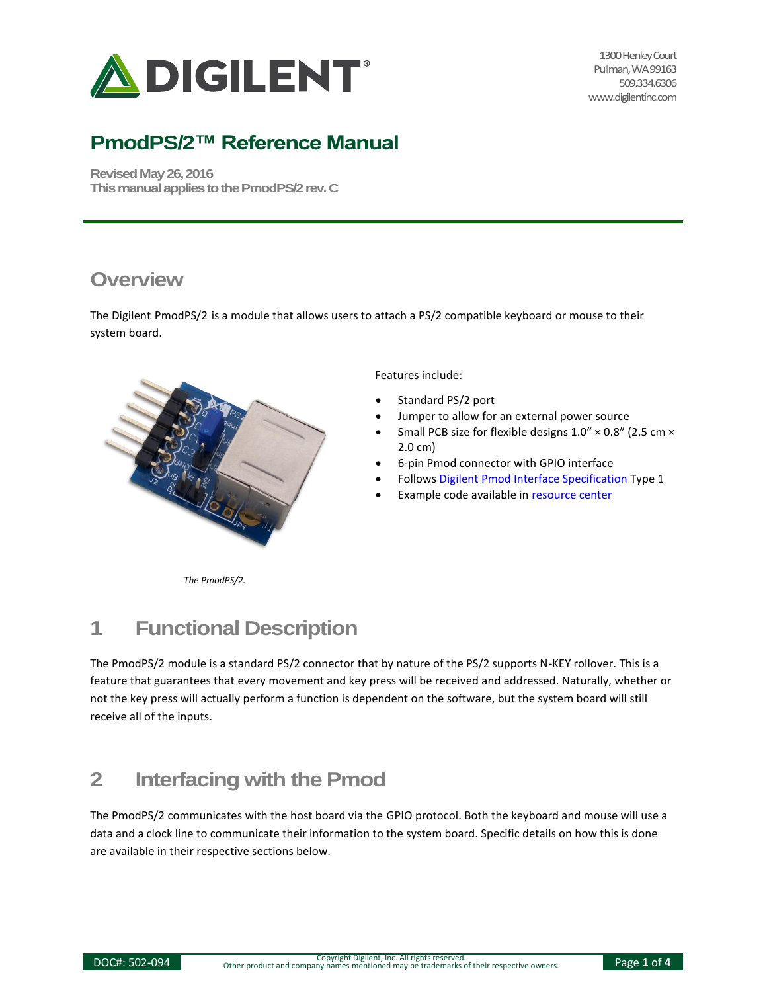

1300 Henley Court Pullman, WA 99163 509.334.6306 www.digilentinc.com

# **PmodPS/2™ Reference Manual**

**Revised May 26, 2016 This manual applies to the PmodPS/2rev. C**

#### **Overview**

The Digilent PmodPS/2 is a module that allows users to attach a PS/2 compatible keyboard or mouse to their system board.



Features include:

- Standard PS/2 port
- Jumper to allow for an external power source
- Small PCB size for flexible designs 1.0" × 0.8" (2.5 cm × 2.0 cm)
- 6-pin Pmod connector with GPIO interface
- Follows [Digilent Pmod Interface Specification](https://www.digilentinc.com/Pmods/Digilent-Pmod_%20Interface_Specification.pdf) Type 1
- Example code available in [resource center](https://reference.digilentinc.com/pmod/pmod/ps2/example_code)

*The PmodPS/2.*

# **1 Functional Description**

The PmodPS/2 module is a standard PS/2 connector that by nature of the PS/2 supports N-KEY rollover. This is a feature that guarantees that every movement and key press will be received and addressed. Naturally, whether or not the key press will actually perform a function is dependent on the software, but the system board will still receive all of the inputs.

### **2 Interfacing with the Pmod**

The PmodPS/2 communicates with the host board via the GPIO protocol. Both the keyboard and mouse will use a data and a clock line to communicate their information to the system board. Specific details on how this is done are available in their respective sections below.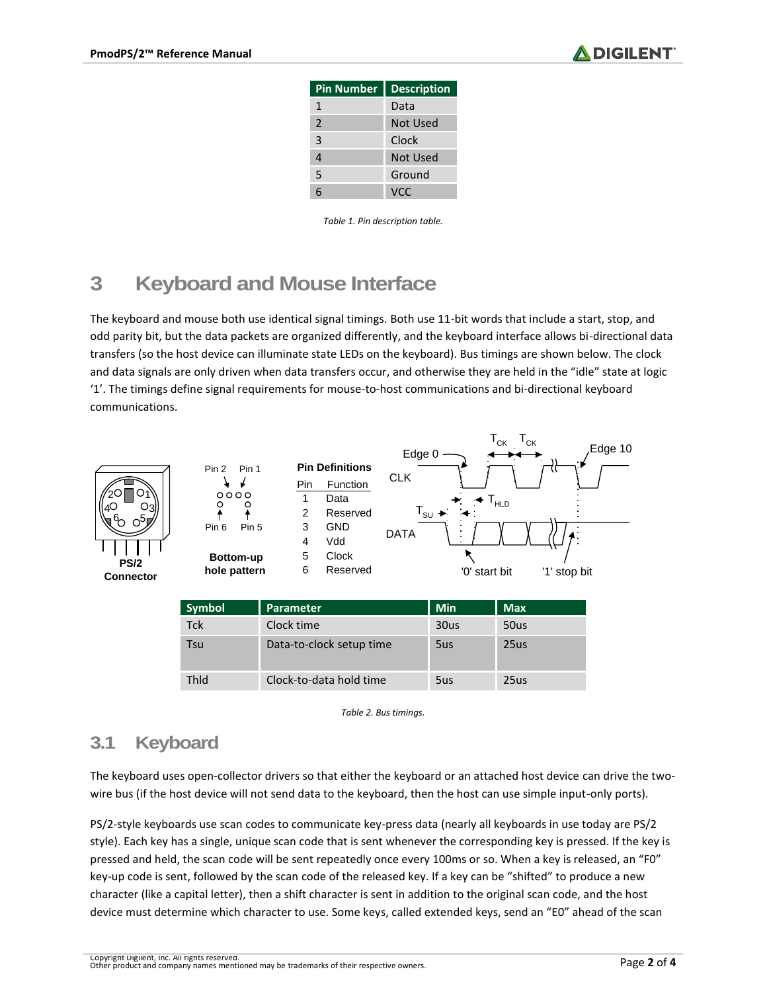

| <b>Pin Number</b> | <b>Description</b> |
|-------------------|--------------------|
| 1                 | Data               |
| 2                 | Not Used           |
| 3                 | Clock              |
| 4                 | Not Used           |
| 5                 | Ground             |
| հ                 | VCC.               |

*Table 1. Pin description table.*

### **3 Keyboard and Mouse Interface**

The keyboard and mouse both use identical signal timings. Both use 11-bit words that include a start, stop, and odd parity bit, but the data packets are organized differently, and the keyboard interface allows bi-directional data transfers (so the host device can illuminate state LEDs on the keyboard). Bus timings are shown below. The clock and data signals are only driven when data transfers occur, and otherwise they are held in the "idle" state at logic '1'. The timings define signal requirements for mouse-to-host communications and bi-directional keyboard communications.





**hole pattern**



| Symbol | Parameter                | <b>Min</b> | <b>Max</b> |
|--------|--------------------------|------------|------------|
| Tck    | Clock time               | 30us       | 50us       |
| Tsu    | Data-to-clock setup time | 5us        | 25us       |
| Thid   | Clock-to-data hold time  | 5us        | 25us       |



#### **3.1 Keyboard**

The keyboard uses open-collector drivers so that either the keyboard or an attached host device can drive the twowire bus (if the host device will not send data to the keyboard, then the host can use simple input-only ports).

PS/2-style keyboards use scan codes to communicate key-press data (nearly all keyboards in use today are PS/2 style). Each key has a single, unique scan code that is sent whenever the corresponding key is pressed. If the key is pressed and held, the scan code will be sent repeatedly once every 100ms or so. When a key is released, an "F0" key-up code is sent, followed by the scan code of the released key. If a key can be "shifted" to produce a new character (like a capital letter), then a shift character is sent in addition to the original scan code, and the host device must determine which character to use. Some keys, called extended keys, send an "E0" ahead of the scan

Copyright Digilent, Inc. All rights reserved. Other product and company names mentioned may be trademarks of their respective owners. Page **2** of **4**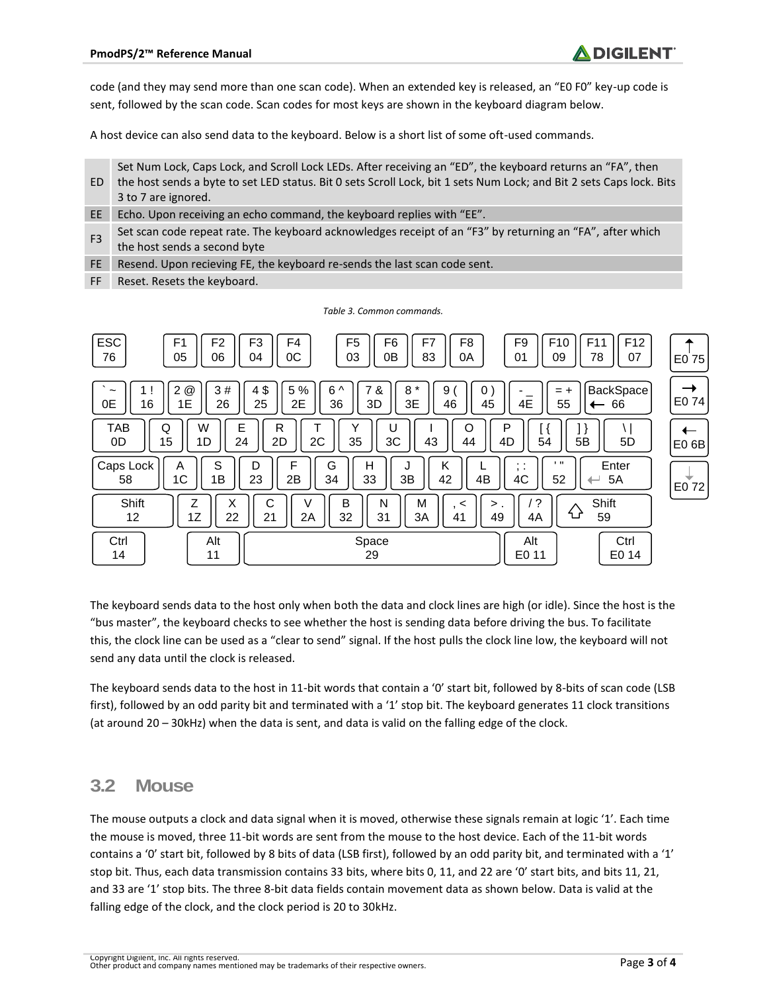code (and they may send more than one scan code). When an extended key is released, an "E0 F0" key-up code is sent, followed by the scan code. Scan codes for most keys are shown in the keyboard diagram below.

A host device can also send data to the keyboard. Below is a short list of some oft-used commands.

| ED             | Set Num Lock, Caps Lock, and Scroll Lock LEDs. After receiving an "ED", the keyboard returns an "FA", then<br>the host sends a byte to set LED status. Bit 0 sets Scroll Lock, bit 1 sets Num Lock; and Bit 2 sets Caps lock. Bits<br>3 to 7 are ignored. |
|----------------|-----------------------------------------------------------------------------------------------------------------------------------------------------------------------------------------------------------------------------------------------------------|
| EE             | Echo. Upon receiving an echo command, the keyboard replies with "EE".                                                                                                                                                                                     |
| F <sub>3</sub> | Set scan code repeat rate. The keyboard acknowledges receipt of an "F3" by returning an "FA", after which<br>the host sends a second byte                                                                                                                 |
| FE.            | Resend. Upon recieving FE, the keyboard re-sends the last scan code sent.                                                                                                                                                                                 |
|                |                                                                                                                                                                                                                                                           |

FF Reset. Resets the keyboard.

| <b>ESC</b><br>F <sub>1</sub><br>F <sub>2</sub><br>76<br>05<br>06        | F4<br>F <sub>5</sub><br>F <sub>3</sub><br>F <sub>6</sub><br>F7<br>F8<br>0C<br>03<br>0Β<br>83<br>04<br>0A | F <sub>9</sub><br>F <sub>12</sub><br>F <sub>10</sub><br>F <sub>11</sub><br>01<br>09<br>78<br>07 | E0 75                  |
|-------------------------------------------------------------------------|----------------------------------------------------------------------------------------------------------|-------------------------------------------------------------------------------------------------|------------------------|
| $^{\copyright}$<br>2<br>3#<br>1 !<br>$\tilde{}$<br>0E<br>16<br>1E<br>26 | 4\$<br>5 %<br>$6^{\wedge}$<br>7 &<br>$\star$<br>8<br>9<br>0<br>25<br>2E<br>3D<br>3E<br>46<br>36<br>45    | <b>BackSpace</b><br>$= +$<br>4E<br>55<br>66                                                     | $\rightarrow$<br>E0 74 |
| W<br>Ε<br><b>TAB</b><br>Q<br>0D<br>15<br>1D<br>24                       | R<br>U<br>O<br>2D<br>2C<br>3C<br>35<br>43<br>44                                                          | P<br>4D<br>5B<br>5D<br>54                                                                       | ←<br>E0 <sub>6</sub> B |
| S<br>Caps Lock<br>A<br>1B<br>1 <sup>C</sup><br>58                       | F<br>G<br>D<br>н<br>K<br>2B<br>33<br>3B<br>4B<br>23<br>42<br>34                                          | $\blacksquare$<br>Enter<br>. .<br>$, \cdot$<br>4C<br>52<br>5A<br>$\overline{\phantom{0}}$       | ▼<br>E0 72             |
| Shift<br>Z<br>X<br>12<br>1Ζ<br>22                                       | С<br>B<br>M<br>V<br>N<br>$\prec$<br>21<br>2A<br>32<br>31<br>3A<br>41                                     | $\cdot$<br>Shift<br>$\mathbf{p}$ .<br>⇧<br>59<br>49<br>4A                                       |                        |
| Ctrl<br>Alt<br>14<br>11                                                 | Space<br>29                                                                                              | Ctrl<br>Alt<br>E0 14<br>E0 11                                                                   |                        |

*Table 3. Common commands.*

The keyboard sends data to the host only when both the data and clock lines are high (or idle). Since the host is the "bus master", the keyboard checks to see whether the host is sending data before driving the bus. To facilitate this, the clock line can be used as a "clear to send" signal. If the host pulls the clock line low, the keyboard will not send any data until the clock is released.

The keyboard sends data to the host in 11-bit words that contain a '0' start bit, followed by 8-bits of scan code (LSB first), followed by an odd parity bit and terminated with a '1' stop bit. The keyboard generates 11 clock transitions (at around 20 – 30kHz) when the data is sent, and data is valid on the falling edge of the clock.

#### **3.2 Mouse**

The mouse outputs a clock and data signal when it is moved, otherwise these signals remain at logic '1'. Each time the mouse is moved, three 11-bit words are sent from the mouse to the host device. Each of the 11-bit words contains a '0' start bit, followed by 8 bits of data (LSB first), followed by an odd parity bit, and terminated with a '1' stop bit. Thus, each data transmission contains 33 bits, where bits 0, 11, and 22 are '0' start bits, and bits 11, 21, and 33 are '1' stop bits. The three 8-bit data fields contain movement data as shown below. Data is valid at the falling edge of the clock, and the clock period is 20 to 30kHz.